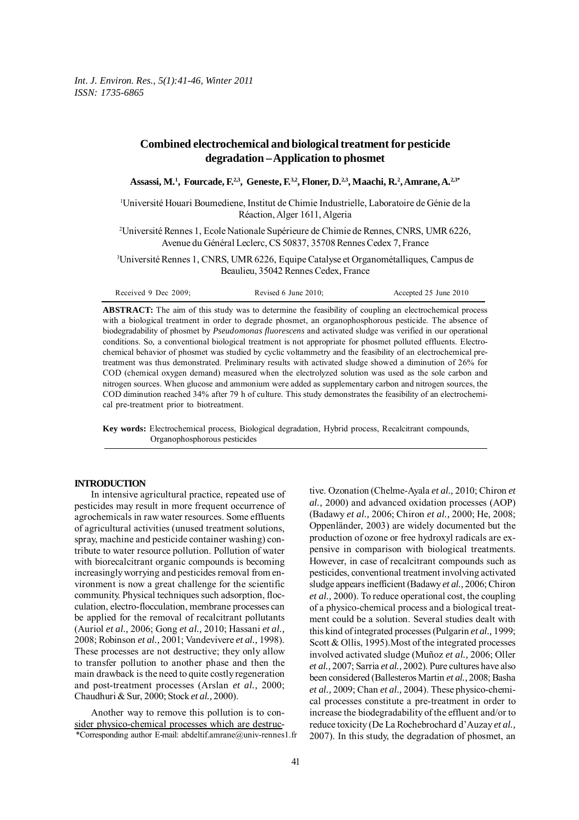# **Combined electrochemical and biological treatment for pesticide degradation – Application to phosmet**

**Assassi, M.1 , Fourcade, F.2,3, Geneste, F.3,2, Floner, D.2,3, Maachi, R.2 , Amrane, A.2,3\***

1 Université Houari Boumediene, Institut de Chimie Industrielle, Laboratoire de Génie de la Réaction, Alger 1611, Algeria

2 Université Rennes 1, Ecole Nationale Supérieure de Chimie de Rennes, CNRS, UMR 6226, Avenue du Général Leclerc, CS 50837, 35708 Rennes Cedex 7, France

3 Université Rennes 1, CNRS, UMR 6226, Equipe Catalyse et Organométalliques, Campus de Beaulieu, 35042 Rennes Cedex, France

| Received 9 Dec 2009: | Revised 6 June 2010: | Accepted 25 June 2010 |
|----------------------|----------------------|-----------------------|
|----------------------|----------------------|-----------------------|

**ABSTRACT:** The aim of this study was to determine the feasibility of coupling an electrochemical process with a biological treatment in order to degrade phosmet, an organophosphorous pesticide. The absence of biodegradability of phosmet by *Pseudomonas fluorescens* and activated sludge was verified in our operational conditions. So, a conventional biological treatment is not appropriate for phosmet polluted effluents. Electrochemical behavior of phosmet was studied by cyclic voltammetry and the feasibility of an electrochemical pretreatment was thus demonstrated. Preliminary results with activated sludge showed a diminution of 26% for COD (chemical oxygen demand) measured when the electrolyzed solution was used as the sole carbon and nitrogen sources. When glucose and ammonium were added as supplementary carbon and nitrogen sources, the COD diminution reached 34% after 79 h of culture. This study demonstrates the feasibility of an electrochemical pre-treatment prior to biotreatment.

**Key words:** Electrochemical process, Biological degradation, Hybrid process, Recalcitrant compounds, Organophosphorous pesticides

## **INTRODUCTION**

In intensive agricultural practice, repeated use of pesticides may result in more frequent occurrence of agrochemicals in raw water resources. Some effluents of agricultural activities (unused treatment solutions, spray, machine and pesticide container washing) contribute to water resource pollution. Pollution of water with biorecalcitrant organic compounds is becoming increasingly worrying and pesticides removal from environment is now a great challenge for the scientific community. Physical techniques such adsorption, flocculation, electro-flocculation, membrane processes can be applied for the removal of recalcitrant pollutants (Auriol *et al.,* 2006; Gong *et al.,* 2010; Hassani *et al.,* 2008; Robinson *et al.,* 2001; Vandevivere *et al.,* 1998). These processes are not destructive; they only allow to transfer pollution to another phase and then the main drawback is the need to quite costly regeneration and post-treatment processes (Arslan *et al.,* 2000; Chaudhuri & Sur, 2000; Stock *et al.,* 2000).

\*Corresponding author E-mail: abdeltif.amrane@univ-rennes1.fr Another way to remove this pollution is to consider physico-chemical processes which are destructive. Ozonation (Chelme-Ayala *et al.,* 2010; Chiron *et al.,* 2000) and advanced oxidation processes (AOP) (Badawy *et al.,* 2006; Chiron *et al.,* 2000; He, 2008; Oppenländer, 2003) are widely documented but the production of ozone or free hydroxyl radicals are expensive in comparison with biological treatments. However, in case of recalcitrant compounds such as pesticides, conventional treatment involving activated sludge appears inefficient (Badawy *et al.,* 2006; Chiron *et al.,* 2000). To reduce operational cost, the coupling of a physico-chemical process and a biological treatment could be a solution. Several studies dealt with this kind of integrated processes (Pulgarin *et al.,* 1999; Scott & Ollis, 1995). Most of the integrated processes involved activated sludge (Muñoz *et al.,* 2006; Oller *et al.,* 2007; Sarria *et al.,* 2002). Pure cultures have also been considered (Ballesteros Martin *et al.,* 2008; Basha *et al.,* 2009; Chan *et al.,* 2004). These physico-chemical processes constitute a pre-treatment in order to increase the biodegradability of the effluent and/or to reduce toxicity (De La Rochebrochard d'Auzay *et al.,* 2007). In this study, the degradation of phosmet, an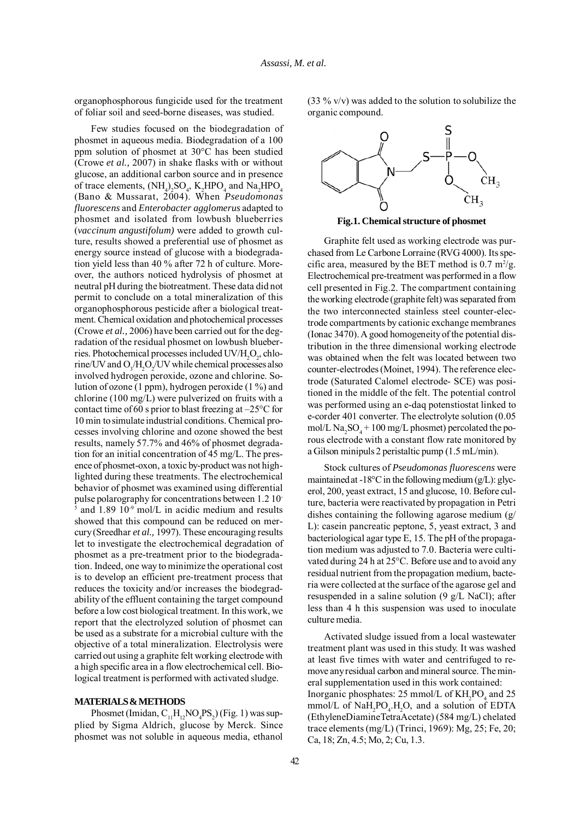organophosphorous fungicide used for the treatment of foliar soil and seed-borne diseases, was studied.

Few studies focused on the biodegradation of phosmet in aqueous media. Biodegradation of a 100 ppm solution of phosmet at 30°C has been studied (Crowe *et al.,* 2007) in shake flasks with or without glucose, an additional carbon source and in presence of trace elements,  $(NH_4)_2SO_4$ ,  $K_2HPO_4$  and  $Na_2HPO_4$ (Bano & Mussarat, 2004). When *Pseudomonas fluorescens* and *Enterobacter agglomerus* adapted to phosmet and isolated from lowbush blueberries (*vaccinum angustifolum)* were added to growth culture, results showed a preferential use of phosmet as energy source instead of glucose with a biodegradation yield less than 40 % after 72 h of culture. Moreover, the authors noticed hydrolysis of phosmet at neutral pH during the biotreatment. These data did not permit to conclude on a total mineralization of this organophosphorous pesticide after a biological treatment. Chemical oxidation and photochemical processes (Crowe *et al.,* 2006) have been carried out for the degradation of the residual phosmet on lowbush blueberries. Photochemical processes included  $UV/H_2O_2$ , chlorine/UV and  $O_3/H_2O_2$ /UV while chemical processes also involved hydrogen peroxide, ozone and chlorine. Solution of ozone (1 ppm), hydrogen peroxide (1 %) and chlorine (100 mg/L) were pulverized on fruits with a contact time of 60 s prior to blast freezing at  $-25^{\circ}$ C for 10 min to simulate industrial conditions. Chemical processes involving chlorine and ozone showed the best results, namely 57.7% and 46% of phosmet degradation for an initial concentration of 45 mg/L. The presence of phosmet-oxon, a toxic by-product was not highlighted during these treatments. The electrochemical behavior of phosmet was examined using differential pulse polarography for concentrations between 1.2 10- 5 and 1.89 10<sup>-9</sup> mol/L in acidic medium and results showed that this compound can be reduced on mercury (Sreedhar *et al.,* 1997). These encouraging results let to investigate the electrochemical degradation of phosmet as a pre-treatment prior to the biodegradation. Indeed, one way to minimize the operational cost is to develop an efficient pre-treatment process that reduces the toxicity and/or increases the biodegradability of the effluent containing the target compound before a low cost biological treatment. In this work, we report that the electrolyzed solution of phosmet can be used as a substrate for a microbial culture with the objective of a total mineralization. Electrolysis were carried out using a graphite felt working electrode with a high specific area in a flow electrochemical cell. Biological treatment is performed with activated sludge.

### **MATERIALS & METHODS**

Phosmet (Imidan,  $C_{11}H_{12}NO_4PS_2$ ) (Fig. 1) was supplied by Sigma Aldrich, glucose by Merck. Since phosmet was not soluble in aqueous media, ethanol  $(33\% \text{ v/v})$  was added to the solution to solubilize the organic compound.



**Fig.1. Chemical structure of phosmet**

Graphite felt used as working electrode was purchased from Le Carbone Lorraine (RVG 4000). Its specific area, measured by the BET method is  $0.7 \text{ m}^2/\text{g}$ . Electrochemical pre-treatment was performed in a flow cell presented in Fig.2. The compartment containing the working electrode (graphite felt) was separated from the two interconnected stainless steel counter-electrode compartments by cationic exchange membranes (Ionac 3470). A good homogeneity of the potential distribution in the three dimensional working electrode was obtained when the felt was located between two counter-electrodes (Moinet, 1994). The reference electrode (Saturated Calomel electrode- SCE) was positioned in the middle of the felt. The potential control was performed using an e-daq potenstiostat linked to e-corder 401 converter. The electrolyte solution (0.05 mol/L  $\text{Na}_2\text{SO}_4 + 100 \text{ mg/L}$  phosmet) percolated the porous electrode with a constant flow rate monitored by a Gilson minipuls 2 peristaltic pump (1.5 mL/min).

Stock cultures of *Pseudomonas fluorescens* were maintained at  $-18^{\circ}$ C in the following medium (g/L): glycerol, 200, yeast extract, 15 and glucose, 10. Before culture, bacteria were reactivated by propagation in Petri dishes containing the following agarose medium (g/ L): casein pancreatic peptone, 5, yeast extract, 3 and bacteriological agar type E, 15. The pH of the propagation medium was adjusted to 7.0. Bacteria were cultivated during 24 h at 25°C. Before use and to avoid any residual nutrient from the propagation medium, bacteria were collected at the surface of the agarose gel and resuspended in a saline solution (9 g/L NaCl); after less than 4 h this suspension was used to inoculate culture media.

Activated sludge issued from a local wastewater treatment plant was used in this study. It was washed at least five times with water and centrifuged to remove any residual carbon and mineral source. The mineral supplementation used in this work contained: Inorganic phosphates:  $25 \text{ mmol/L}$  of  $\text{KH}_{2}\text{PO}_{4}$  and  $25$  $mmol/L$  of  $NaH<sub>2</sub>PO<sub>4</sub>$ .H<sub>2</sub>O, and a solution of EDTA (EthyleneDiamineTetraAcetate) (584 mg/L) chelated trace elements (mg/L) (Trinci, 1969): Mg, 25; Fe, 20; Ca, 18; Zn, 4.5; Mo, 2; Cu, 1.3.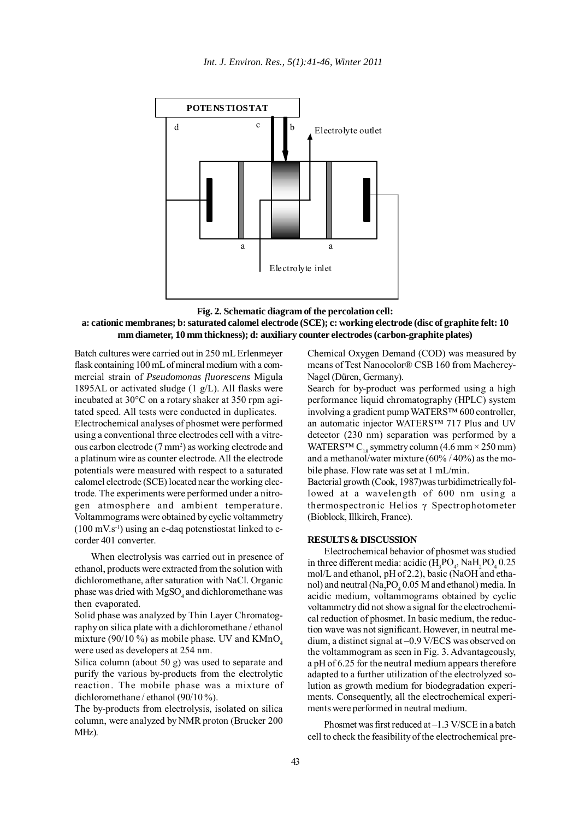

**Fig. 2. Schematic diagram of the percolation cell: a: cationic membranes; b: saturated calomel electrode (SCE); c: working electrode (disc of graphite felt: 10 mm diameter, 10 mm thickness); d: auxiliary counter electrodes (carbon-graphite plates)**

Batch cultures were carried out in 250 mL Erlenmeyer flask containing 100 mL of mineral medium with a commercial strain of *Pseudomonas fluorescens* Migula 1895AL or activated sludge  $(1 g/L)$ . All flasks were incubated at 30°C on a rotary shaker at 350 rpm agitated speed. All tests were conducted in duplicates.

Electrochemical analyses of phosmet were performed using a conventional three electrodes cell with a vitreous carbon electrode (7 mm<sup>2</sup>) as working electrode and a platinum wire as counter electrode. All the electrode potentials were measured with respect to a saturated calomel electrode (SCE) located near the working electrode. The experiments were performed under a nitrogen atmosphere and ambient temperature. Voltammograms were obtained by cyclic voltammetry  $(100 \text{ mV} \cdot \text{s}^{-1})$  using an e-daq potenstiostat linked to ecorder 401 converter.

When electrolysis was carried out in presence of ethanol, products were extracted from the solution with dichloromethane, after saturation with NaCl. Organic phase was dried with  $MgSO_4$  and dichloromethane was then evaporated.

Solid phase was analyzed by Thin Layer Chromatography on silica plate with a dichloromethane / ethanol mixture (90/10 %) as mobile phase. UV and  $KMnO<sub>4</sub>$ were used as developers at 254 nm.

Silica column (about 50 g) was used to separate and purify the various by-products from the electrolytic reaction. The mobile phase was a mixture of dichloromethane / ethanol (90/10 %).

The by-products from electrolysis, isolated on silica column, were analyzed by NMR proton (Brucker 200 MHz).

Chemical Oxygen Demand (COD) was measured by means of Test Nanocolor® CSB 160 from Macherey-Nagel (Düren, Germany).

Search for by-product was performed using a high performance liquid chromatography (HPLC) system involving a gradient pump WATERS™ 600 controller, an automatic injector WATERS™ 717 Plus and UV detector (230 nm) separation was performed by a WATERS<sup>TM</sup> C<sub>18</sub> symmetry column (4.6 mm  $\times$  250 mm) and a methanol/water mixture  $(60\% / 40\%)$  as the mobile phase. Flow rate was set at 1 mL/min.

Bacterial growth (Cook, 1987)was turbidimetrically followed at a wavelength of 600 nm using a thermospectronic Helios γ Spectrophotometer (Bioblock, Illkirch, France).

# **RESULTS & DISCUSSION**

Electrochemical behavior of phosmet was studied in three different media: acidic  $(H_3PO_4, NaH_2PO_4, 0.25)$ mol/L and ethanol, pH of 2.2), basic (NaOH and ethanol) and neutral  $(Na_2PO_4 0.05 M$  and ethanol) media. In acidic medium, voltammograms obtained by cyclic voltammetry did not show a signal for the electrochemical reduction of phosmet. In basic medium, the reduction wave was not significant. However, in neutral medium, a distinct signal at –0.9 V/ECS was observed on the voltammogram as seen in Fig. 3. Advantageously, a pH of 6.25 for the neutral medium appears therefore adapted to a further utilization of the electrolyzed solution as growth medium for biodegradation experiments. Consequently, all the electrochemical experiments were performed in neutral medium.

Phosmet was first reduced at  $-1.3$  V/SCE in a batch cell to check the feasibility of the electrochemical pre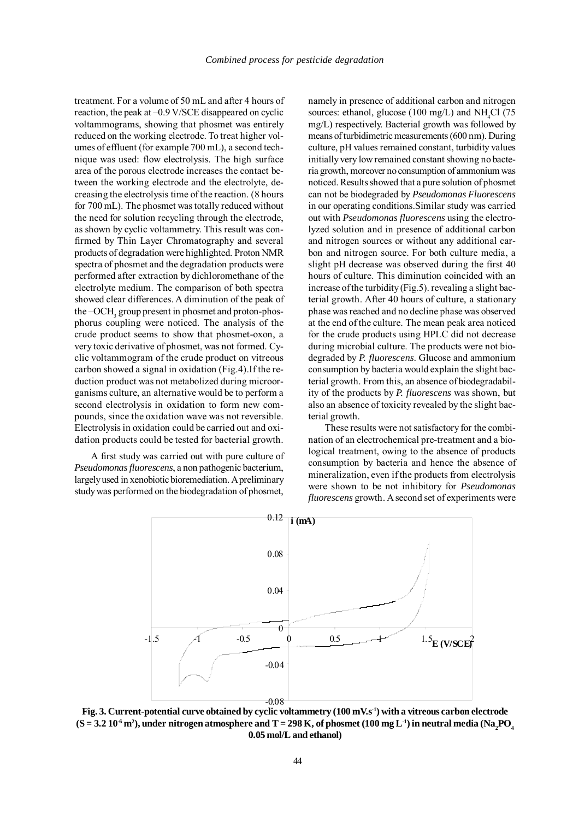treatment. For a volume of 50 mL and after 4 hours of reaction, the peak at –0.9 V/SCE disappeared on cyclic voltammograms, showing that phosmet was entirely reduced on the working electrode. To treat higher volumes of effluent (for example 700 mL), a second technique was used: flow electrolysis. The high surface area of the porous electrode increases the contact between the working electrode and the electrolyte, decreasing the electrolysis time of the reaction. (8 hours for 700 mL). The phosmet was totally reduced without the need for solution recycling through the electrode, as shown by cyclic voltammetry. This result was confirmed by Thin Layer Chromatography and several products of degradation were highlighted. Proton NMR spectra of phosmet and the degradation products were performed after extraction by dichloromethane of the electrolyte medium. The comparison of both spectra showed clear differences. A diminution of the peak of the –OCH<sub>3</sub> group present in phosmet and proton-phosphorus coupling were noticed. The analysis of the crude product seems to show that phosmet-oxon, a very toxic derivative of phosmet, was not formed. Cyclic voltammogram of the crude product on vitreous carbon showed a signal in oxidation (Fig.4).If the reduction product was not metabolized during microorganisms culture, an alternative would be to perform a second electrolysis in oxidation to form new compounds, since the oxidation wave was not reversible. Electrolysis in oxidation could be carried out and oxidation products could be tested for bacterial growth.

A first study was carried out with pure culture of *Pseudomonas fluorescens*, a non pathogenic bacterium, largely used in xenobiotic bioremediation. A preliminary study was performed on the biodegradation of phosmet,

namely in presence of additional carbon and nitrogen sources: ethanol, glucose (100 mg/L) and  $NH<sub>4</sub>Cl$  (75 mg/L) respectively. Bacterial growth was followed by means of turbidimetric measurements (600 nm). During culture, pH values remained constant, turbidity values initially very low remained constant showing no bacteria growth, moreover no consumption of ammonium was noticed. Results showed that a pure solution of phosmet can not be biodegraded by *Pseudomonas Fluorescens* in our operating conditions.Similar study was carried out with *Pseudomonas fluorescens* using the electrolyzed solution and in presence of additional carbon and nitrogen sources or without any additional carbon and nitrogen source. For both culture media, a slight pH decrease was observed during the first 40 hours of culture. This diminution coincided with an increase of the turbidity (Fig.5). revealing a slight bacterial growth. After 40 hours of culture, a stationary phase was reached and no decline phase was observed at the end of the culture. The mean peak area noticed for the crude products using HPLC did not decrease during microbial culture. The products were not biodegraded by *P. fluorescens*. Glucose and ammonium consumption by bacteria would explain the slight bacterial growth. From this, an absence of biodegradability of the products by *P. fluorescens* was shown, but also an absence of toxicity revealed by the slight bacterial growth.

These results were not satisfactory for the combination of an electrochemical pre-treatment and a biological treatment, owing to the absence of products consumption by bacteria and hence the absence of mineralization, even if the products from electrolysis were shown to be not inhibitory for *Pseudomonas fluorescens* growth. A second set of experiments were



**Fig. 3. Current-potential curve obtained by cyclic voltammetry (100 mV.s-1) with a vitreous carbon electrode**  $(S = 3.2\ 10^{-6} \text{ m}^2)$ , under nitrogen atmosphere and T = 298 K, of phosmet (100 mg L<sup>-1</sup>) in neutral media (Na<sub>2</sub>PO<sub>4</sub> **0.05 mol/L and ethanol)**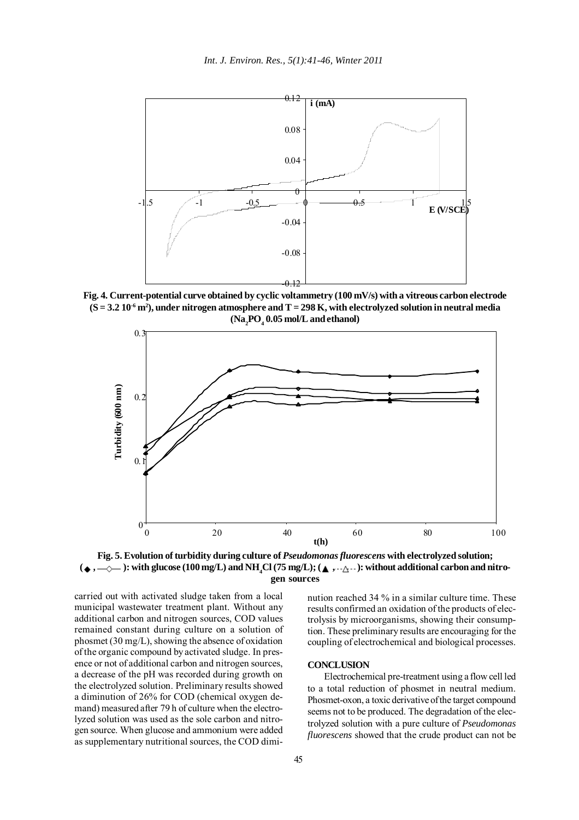

**Fig. 4. Current-potential curve obtained by cyclic voltammetry (100 mV/s) with a vitreous carbon electrode (S = 3.2 10-6 m2 ), under nitrogen atmosphere and T = 298 K, with electrolyzed solution in neutral media**  $(Na<sub>2</sub>PO<sub>4</sub>0.05 mol/L and ethanol)$ 





carried out with activated sludge taken from a local municipal wastewater treatment plant. Without any additional carbon and nitrogen sources, COD values remained constant during culture on a solution of phosmet (30 mg/L), showing the absence of oxidation of the organic compound by activated sludge. In presence or not of additional carbon and nitrogen sources, a decrease of the pH was recorded during growth on the electrolyzed solution. Preliminary results showed a diminution of 26% for COD (chemical oxygen demand) measured after 79 h of culture when the electrolyzed solution was used as the sole carbon and nitrogen source. When glucose and ammonium were added as supplementary nutritional sources, the COD diminution reached 34 % in a similar culture time. These results confirmed an oxidation of the products of electrolysis by microorganisms, showing their consumption. These preliminary results are encouraging for the coupling of electrochemical and biological processes.

### **CONCLUSION**

Electrochemical pre-treatment using a flow cell led to a total reduction of phosmet in neutral medium. Phosmet-oxon, a toxic derivative of the target compound seems not to be produced. The degradation of the electrolyzed solution with a pure culture of *Pseudomonas fluorescens* showed that the crude product can not be